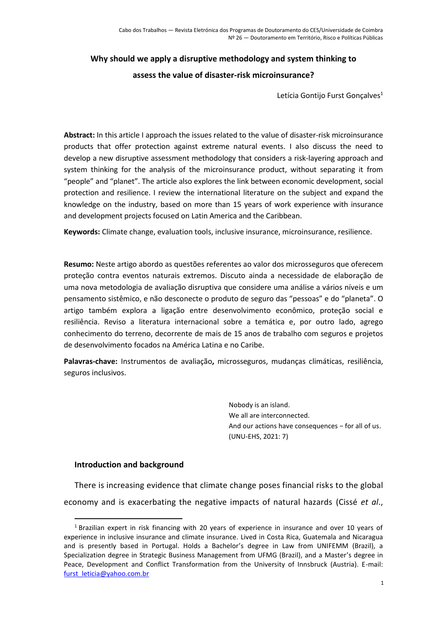# **Why should we apply a disruptive methodology and system thinking to assess the value of disaster-risk microinsurance?**

Letícia Gontijo Furst Gonçalves<sup>1</sup>

**Abstract:** In this article I approach the issues related to the value of disaster-risk microinsurance products that offer protection against extreme natural events. I also discuss the need to develop a new disruptive assessment methodology that considers a risk-layering approach and system thinking for the analysis of the microinsurance product, without separating it from "people" and "planet". The article also explores the link between economic development, social protection and resilience. I review the international literature on the subject and expand the knowledge on the industry, based on more than 15 years of work experience with insurance and development projects focused on Latin America and the Caribbean.

**Keywords:** Climate change, evaluation tools, inclusive insurance, microinsurance, resilience.

**Resumo:** Neste artigo abordo as questões referentes ao valor dos microsseguros que oferecem proteção contra eventos naturais extremos. Discuto ainda a necessidade de elaboração de uma nova metodologia de avaliação disruptiva que considere uma análise a vários níveis e um pensamento sistêmico, e não desconecte o produto de seguro das "pessoas" e do "planeta". O artigo também explora a ligação entre desenvolvimento econômico, proteção social e resiliência. Reviso a literatura internacional sobre a temática e, por outro lado, agrego conhecimento do terreno, decorrente de mais de 15 anos de trabalho com seguros e projetos de desenvolvimento focados na América Latina e no Caribe.

**Palavras-chave:** Instrumentos de avaliação**,** microsseguros, mudanças climáticas, resiliência, seguros inclusivos.

> Nobody is an island. We all are interconnected. And our actions have consequences − for all of us. (UNU-EHS, 2021: 7)

## **Introduction and background**

There is increasing evidence that climate change poses financial risks to the global economy and is exacerbating the negative impacts of natural hazards (Cissé *et al*.,

<sup>&</sup>lt;sup>1</sup> Brazilian expert in risk financing with 20 years of experience in insurance and over 10 years of experience in inclusive insurance and climate insurance. Lived in Costa Rica, Guatemala and Nicaragua and is presently based in Portugal. Holds a Bachelor's degree in Law from UNIFEMM (Brazil), a Specialization degree in Strategic Business Management from UFMG (Brazil), and a Master's degree in Peace, Development and Conflict Transformation from the University of Innsbruck (Austria). E-mail: [furst\\_leticia@yahoo.com.br](furst_leticia@yahoo.com.br)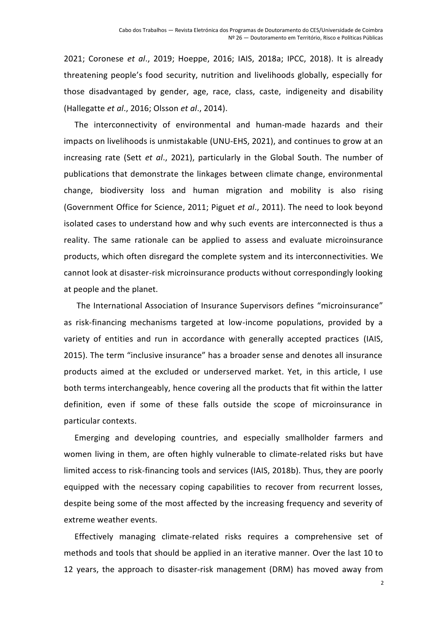2021; Coronese *et al*., 2019; Hoeppe, 2016; IAIS, 2018a; IPCC, 2018). It is already threatening people's food security, nutrition and livelihoods globally, especially for those disadvantaged by gender, age, race, class, caste, indigeneity and disability (Hallegatte *et al*., 2016; Olsson *et al*., 2014).

The interconnectivity of environmental and human-made hazards and their impacts on livelihoods is unmistakable (UNU-EHS, 2021), and continues to grow at an increasing rate (Sett *et al*., 2021), particularly in the Global South. The number of publications that demonstrate the linkages between climate change, environmental change, biodiversity loss and human migration and mobility is also rising (Government Office for Science, 2011; Piguet *et al*., 2011). The need to look beyond isolated cases to understand how and why such events are interconnected is thus a reality. The same rationale can be applied to assess and evaluate microinsurance products, which often disregard the complete system and its interconnectivities. We cannot look at disaster-risk microinsurance products without correspondingly looking at people and the planet.

The International Association of Insurance Supervisors defines "microinsurance" as risk-financing mechanisms targeted at low-income populations, provided by a variety of entities and run in accordance with generally accepted practices (IAIS, 2015). The term "inclusive insurance" has a broader sense and denotes all insurance products aimed at the excluded or underserved market. Yet, in this article, I use both terms interchangeably, hence covering all the products that fit within the latter definition, even if some of these falls outside the scope of microinsurance in particular contexts.

Emerging and developing countries, and especially smallholder farmers and women living in them, are often highly vulnerable to climate-related risks but have limited access to risk-financing tools and services (IAIS, 2018b). Thus, they are poorly equipped with the necessary coping capabilities to recover from recurrent losses, despite being some of the most affected by the increasing frequency and severity of extreme weather events.

Effectively managing climate-related risks requires a comprehensive set of methods and tools that should be applied in an iterative manner. Over the last 10 to 12 years, the approach to disaster-risk management (DRM) has moved away from

2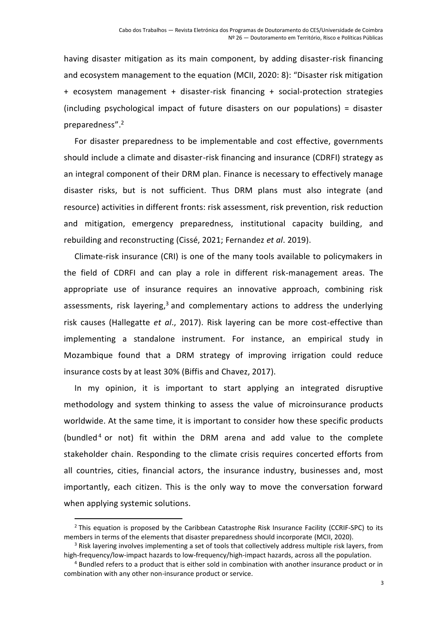having disaster mitigation as its main component, by adding disaster-risk financing and ecosystem management to the equation (MCII, 2020: 8): "Disaster risk mitigation + ecosystem management + disaster-risk financing + social-protection strategies (including psychological impact of future disasters on our populations) = disaster preparedness". 2

For disaster preparedness to be implementable and cost effective, governments should include a climate and disaster-risk financing and insurance (CDRFI) strategy as an integral component of their DRM plan. Finance is necessary to effectively manage disaster risks, but is not sufficient. Thus DRM plans must also integrate (and resource) activities in different fronts: risk assessment, risk prevention, risk reduction and mitigation, emergency preparedness, institutional capacity building, and rebuilding and reconstructing (Cissé, 2021; Fernandez *et al*. 2019).

Climate-risk insurance (CRI) is one of the many tools available to policymakers in the field of CDRFI and can play a role in different risk-management areas. The appropriate use of insurance requires an innovative approach, combining risk assessments, risk layering,<sup>3</sup> and complementary actions to address the underlying risk causes (Hallegatte *et al*., 2017). Risk layering can be more cost-effective than implementing a standalone instrument. For instance, an empirical study in Mozambique found that a DRM strategy of improving irrigation could reduce insurance costs by at least 30% (Biffis and Chavez, 2017).

In my opinion, it is important to start applying an integrated disruptive methodology and system thinking to assess the value of microinsurance products worldwide. At the same time, it is important to consider how these specific products (bundled $4$  or not) fit within the DRM arena and add value to the complete stakeholder chain. Responding to the climate crisis requires concerted efforts from all countries, cities, financial actors, the insurance industry, businesses and, most importantly, each citizen. This is the only way to move the conversation forward when applying systemic solutions.

 $<sup>2</sup>$  This equation is proposed by the Caribbean Catastrophe Risk Insurance Facility (CCRIF-SPC) to its</sup> members in terms of the elements that disaster preparedness should incorporate (MCII, 2020).

<sup>&</sup>lt;sup>3</sup> Risk layering involves implementing a set of tools that collectively address multiple risk layers, from high-frequency/low-impact hazards to low-frequency/high-impact hazards, across all the population.

<sup>4</sup> Bundled refers to a product that is either sold in combination with another insurance product or in combination with any other non-insurance product or service.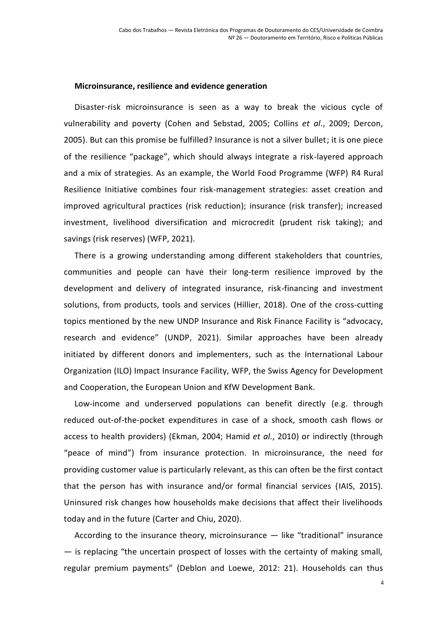### **Microinsurance, resilience and evidence generation**

Disaster-risk microinsurance is seen as a way to break the vicious cycle of vulnerability and poverty (Cohen and Sebstad, 2005; Collins *et al*., 2009; Dercon, 2005). But can this promise be fulfilled? Insurance is not a silver bullet; it is one piece of the resilience "package", which should always integrate a risk-layered approach and a mix of strategies. As an example, the World Food Programme (WFP) R4 Rural Resilience Initiative combines four risk-management strategies: asset creation and improved agricultural practices (risk reduction); insurance (risk transfer); increased investment, livelihood diversification and microcredit (prudent risk taking); and savings (risk reserves) (WFP, 2021).

There is a growing understanding among different stakeholders that countries, communities and people can have their long-term resilience improved by the development and delivery of integrated insurance, risk-financing and investment solutions, from products, tools and services (Hillier, 2018). One of the cross-cutting topics mentioned by the new UNDP Insurance and Risk Finance Facility is "advocacy, research and evidence" (UNDP, 2021). Similar approaches have been already initiated by different donors and implementers, such as the International Labour Organization (ILO) Impact Insurance Facility, WFP, the Swiss Agency for Development and Cooperation, the European Union and KfW Development Bank.

Low-income and underserved populations can benefit directly (e.g. through reduced out-of-the-pocket expenditures in case of a shock, smooth cash flows or access to health providers) (Ekman, 2004; Hamid *et al.*, 2010) or indirectly (through "peace of mind") from insurance protection. In microinsurance, the need for providing customer value is particularly relevant, as this can often be the first contact that the person has with insurance and/or formal financial services (IAIS, 2015). Uninsured risk changes how households make decisions that affect their livelihoods today and in the future (Carter and Chiu, 2020).

According to the insurance theory, microinsurance  $-$  like "traditional" insurance — is replacing "the uncertain prospect of losses with the certainty of making small, regular premium payments" (Deblon and Loewe, 2012: 21). Households can thus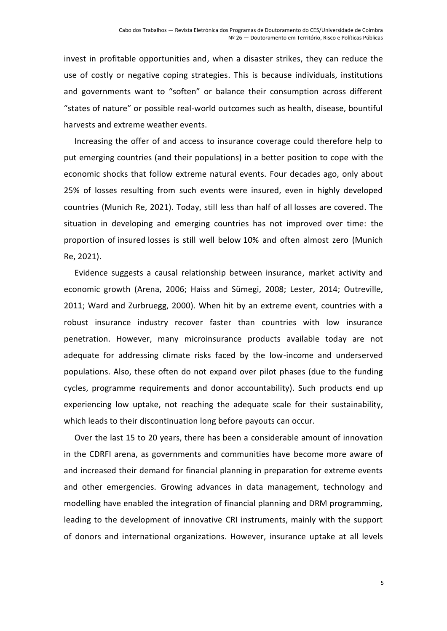invest in profitable opportunities and, when a disaster strikes, they can reduce the use of costly or negative coping strategies. This is because individuals, institutions and governments want to "soften" or balance their consumption across different "states of nature" or possible real-world outcomes such as health, disease, bountiful harvests and extreme weather events.

Increasing the offer of and access to insurance coverage could therefore help to put emerging countries (and their populations) in a better position to cope with the economic shocks that follow extreme natural events. Four decades ago, only about 25% of losses resulting from such events were insured, even in highly developed countries (Munich Re, 2021). Today, still less than half of all losses are covered. The situation in developing and emerging countries has not improved over time: the proportion of insured losses is still well below 10% and often almost zero (Munich Re, 2021).

Evidence suggests a causal relationship between insurance, market activity and economic growth (Arena, 2006; Haiss and Sümegi, 2008; Lester, 2014; Outreville, 2011; Ward and Zurbruegg, 2000). When hit by an extreme event, countries with a robust insurance industry recover faster than countries with low insurance penetration. However, many microinsurance products available today are not adequate for addressing climate risks faced by the low-income and underserved populations. Also, these often do not expand over pilot phases (due to the funding cycles, programme requirements and donor accountability). Such products end up experiencing low uptake, not reaching the adequate scale for their sustainability, which leads to their discontinuation long before payouts can occur.

Over the last 15 to 20 years, there has been a considerable amount of innovation in the CDRFI arena, as governments and communities have become more aware of and increased their demand for financial planning in preparation for extreme events and other emergencies. Growing advances in data management, technology and modelling have enabled the integration of financial planning and DRM programming, leading to the development of innovative CRI instruments, mainly with the support of donors and international organizations. However, insurance uptake at all levels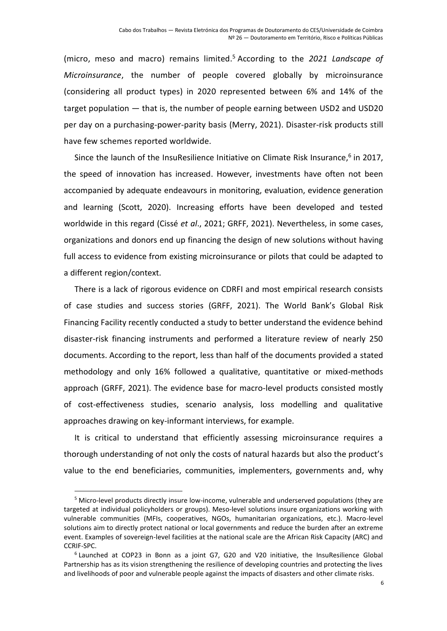(micro, meso and macro) remains limited. <sup>5</sup> According to the *2021 Landscape of Microinsurance*, the number of people covered globally by microinsurance (considering all product types) in 2020 represented between 6% and 14% of the target population — that is, the number of people earning between USD2 and USD20 per day on a purchasing-power-parity basis (Merry, 2021). Disaster-risk products still have few schemes reported worldwide.

Since the launch of the InsuResilience Initiative on Climate Risk Insurance,<sup>6</sup> in 2017, the speed of innovation has increased. However, investments have often not been accompanied by adequate endeavours in monitoring, evaluation, evidence generation and learning (Scott, 2020). Increasing efforts have been developed and tested worldwide in this regard (Cissé *et al*., 2021; GRFF, 2021). Nevertheless, in some cases, organizations and donors end up financing the design of new solutions without having full access to evidence from existing microinsurance or pilots that could be adapted to a different region/context.

There is a lack of rigorous evidence on CDRFI and most empirical research consists of case studies and success stories (GRFF, 2021). The World Bank's Global Risk Financing Facility recently conducted a study to better understand the evidence behind disaster-risk financing instruments and performed a literature review of nearly 250 documents. According to the report, less than half of the documents provided a stated methodology and only 16% followed a qualitative, quantitative or mixed-methods approach (GRFF, 2021). The evidence base for macro-level products consisted mostly of cost-effectiveness studies, scenario analysis, loss modelling and qualitative approaches drawing on key-informant interviews, for example.

It is critical to understand that efficiently assessing microinsurance requires a thorough understanding of not only the costs of natural hazards but also the product's value to the end beneficiaries, communities, implementers, governments and, why

<sup>5</sup> Micro-level products directly insure low-income, vulnerable and underserved populations (they are targeted at individual policyholders or groups). Meso-level solutions insure organizations working with vulnerable communities (MFIs, cooperatives, NGOs, humanitarian organizations, etc.). Macro-level solutions aim to directly protect national or local governments and reduce the burden after an extreme event. Examples of sovereign-level facilities at the national scale are the African Risk Capacity (ARC) and CCRIF-SPC.

<sup>&</sup>lt;sup>6</sup> Launched at COP23 in Bonn as a joint G7, G20 and V20 initiative, the InsuResilience Global Partnership has as its vision strengthening the resilience of developing countries and protecting the lives and livelihoods of poor and vulnerable people against the impacts of disasters and other climate risks.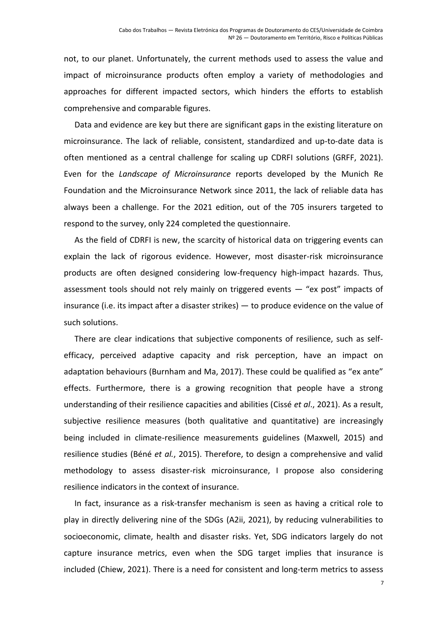not, to our planet. Unfortunately, the current methods used to assess the value and impact of microinsurance products often employ a variety of methodologies and approaches for different impacted sectors, which hinders the efforts to establish comprehensive and comparable figures.

Data and evidence are key but there are significant gaps in the existing literature on microinsurance. The lack of reliable, consistent, standardized and up-to-date data is often mentioned as a central challenge for scaling up CDRFI solutions (GRFF, 2021). Even for the *Landscape of Microinsurance* reports developed by the Munich Re Foundation and the Microinsurance Network since 2011, the lack of reliable data has always been a challenge. For the 2021 edition, out of the 705 insurers targeted to respond to the survey, only 224 completed the questionnaire.

As the field of CDRFI is new, the scarcity of historical data on triggering events can explain the lack of rigorous evidence. However, most disaster-risk microinsurance products are often designed considering low-frequency high-impact hazards. Thus, assessment tools should not rely mainly on triggered events — "ex post" impacts of insurance (i.e. its impact after a disaster strikes) — to produce evidence on the value of such solutions.

There are clear indications that subjective components of resilience, such as selfefficacy, perceived adaptive capacity and risk perception, have an impact on adaptation behaviours (Burnham and Ma, 2017). These could be qualified as "ex ante" effects. Furthermore, there is a growing recognition that people have a strong understanding of their resilience capacities and abilities (Cissé *et al*., 2021). As a result, subjective resilience measures (both qualitative and quantitative) are increasingly being included in climate-resilience measurements guidelines (Maxwell, 2015) and resilience studies (Béné *et al.*, 2015). Therefore, to design a comprehensive and valid methodology to assess disaster-risk microinsurance, I propose also considering resilience indicators in the context of insurance.

In fact, insurance as a risk-transfer mechanism is seen as having a critical role to play in directly delivering nine of the SDGs (A2ii, 2021), by reducing vulnerabilities to socioeconomic, climate, health and disaster risks. Yet, SDG indicators largely do not capture insurance metrics, even when the SDG target implies that insurance is included (Chiew, 2021). There is a need for consistent and long-term metrics to assess

7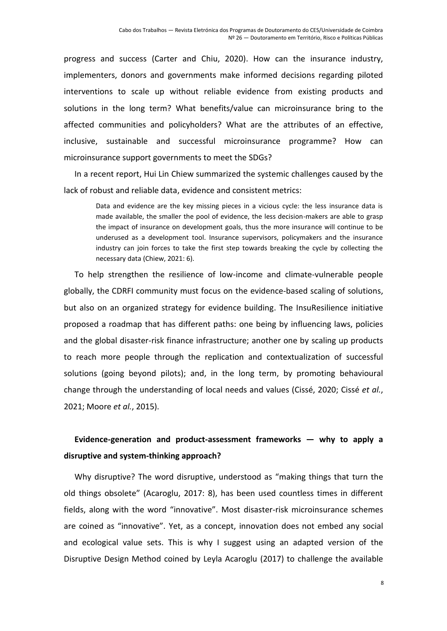progress and success (Carter and Chiu, 2020). How can the insurance industry, implementers, donors and governments make informed decisions regarding piloted interventions to scale up without reliable evidence from existing products and solutions in the long term? What benefits/value can microinsurance bring to the affected communities and policyholders? What are the attributes of an effective, inclusive, sustainable and successful microinsurance programme? How can microinsurance support governments to meet the SDGs?

In a recent report, Hui Lin Chiew summarized the systemic challenges caused by the lack of robust and reliable data, evidence and consistent metrics:

Data and evidence are the key missing pieces in a vicious cycle: the less insurance data is made available, the smaller the pool of evidence, the less decision-makers are able to grasp the impact of insurance on development goals, thus the more insurance will continue to be underused as a development tool. Insurance supervisors, policymakers and the insurance industry can join forces to take the first step towards breaking the cycle by collecting the necessary data (Chiew, 2021: 6).

To help strengthen the resilience of low-income and climate-vulnerable people globally, the CDRFI community must focus on the evidence-based scaling of solutions, but also on an organized strategy for evidence building. The InsuResilience initiative proposed a roadmap that has different paths: one being by influencing laws, policies and the global disaster-risk finance infrastructure; another one by scaling up products to reach more people through the replication and contextualization of successful solutions (going beyond pilots); and, in the long term, by promoting behavioural change through the understanding of local needs and values (Cissé, 2020; Cissé *et al.*, 2021; Moore *et al.*, 2015).

## **Evidence-generation and product-assessment frameworks — why to apply a disruptive and system-thinking approach?**

Why disruptive? The word disruptive, understood as "making things that turn the old things obsolete" (Acaroglu, 2017: 8), has been used countless times in different fields, along with the word "innovative". Most disaster-risk microinsurance schemes are coined as "innovative". Yet, as a concept, innovation does not embed any social and ecological value sets. This is why I suggest using an adapted version of the Disruptive Design Method coined by Leyla Acaroglu (2017) to challenge the available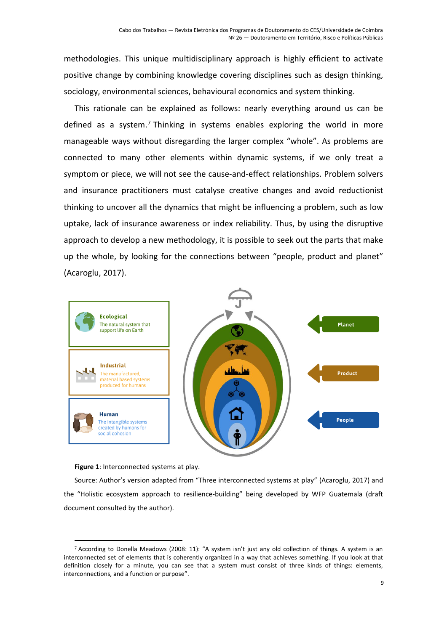methodologies. This unique multidisciplinary approach is highly efficient to activate positive change by combining knowledge covering disciplines such as design thinking, sociology, environmental sciences, behavioural economics and system thinking.

This rationale can be explained as follows: nearly everything around us can be defined as a system.<sup>7</sup> Thinking in systems enables exploring the world in more manageable ways without disregarding the larger complex "whole". As problems are connected to many other elements within dynamic systems, if we only treat a symptom or piece, we will not see the cause-and-effect relationships. Problem solvers and insurance practitioners must catalyse creative changes and avoid reductionist thinking to uncover all the dynamics that might be influencing a problem, such as low uptake, lack of insurance awareness or index reliability. Thus, by using the disruptive approach to develop a new methodology, it is possible to seek out the parts that make up the whole, by looking for the connections between "people, product and planet" (Acaroglu, 2017).



#### **Figure 1**: Interconnected systems at play.

Source: Author's version adapted from "Three interconnected systems at play" (Acaroglu, 2017) and the "Holistic ecosystem approach to resilience-building" being developed by WFP Guatemala (draft document consulted by the author).

<sup>7</sup> According to Donella Meadows (2008: 11): "A system isn't just any old collection of things. A system is an interconnected set of elements that is coherently organized in a way that achieves something. If you look at that definition closely for a minute, you can see that a system must consist of three kinds of things: elements, interconnections, and a function or purpose".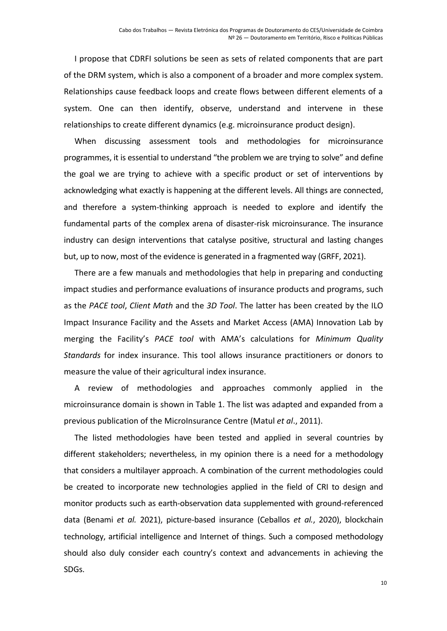I propose that CDRFI solutions be seen as sets of related components that are part of the DRM system, which is also a component of a broader and more complex system. Relationships cause feedback loops and create flows between different elements of a system. One can then identify, observe, understand and intervene in these relationships to create different dynamics (e.g. microinsurance product design).

When discussing assessment tools and methodologies for microinsurance programmes, it is essential to understand "the problem we are trying to solve" and define the goal we are trying to achieve with a specific product or set of interventions by acknowledging what exactly is happening at the different levels. All things are connected, and therefore a system-thinking approach is needed to explore and identify the fundamental parts of the complex arena of disaster-risk microinsurance. The insurance industry can design interventions that catalyse positive, structural and lasting changes but, up to now, most of the evidence is generated in a fragmented way (GRFF, 2021).

There are a few manuals and methodologies that help in preparing and conducting impact studies and performance evaluations of insurance products and programs, such as the *PACE tool*, *Client Math* and the *3D Tool*. The latter has been created by the ILO Impact Insurance Facility and the Assets and Market Access (AMA) Innovation Lab by merging the Facility's *PACE tool* with AMA's calculations for *Minimum Quality Standards* for index insurance. This tool allows insurance practitioners or donors to measure the value of their agricultural index insurance.

A review of methodologies and approaches commonly applied in the microinsurance domain is shown in Table 1. The list was adapted and expanded from a previous publication of the MicroInsurance Centre (Matul *et al*., 2011).

The listed methodologies have been tested and applied in several countries by different stakeholders; nevertheless, in my opinion there is a need for a methodology that considers a multilayer approach. A combination of the current methodologies could be created to incorporate new technologies applied in the field of CRI to design and monitor products such as earth-observation data supplemented with ground-referenced data (Benami *et al.* 2021), picture-based insurance (Ceballos *et al.*, 2020), blockchain technology, artificial intelligence and Internet of things. Such a composed methodology should also duly consider each country's context and advancements in achieving the SDGs.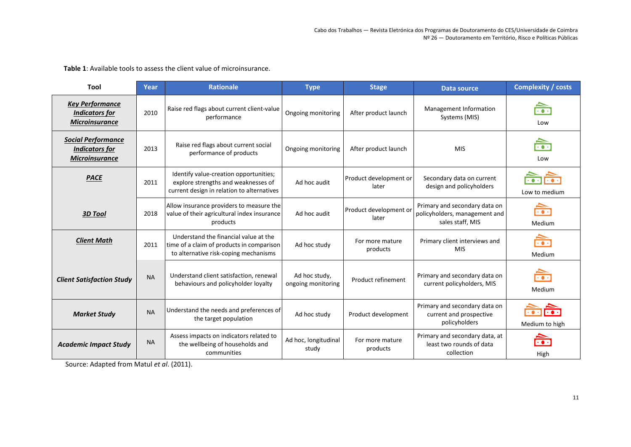**Table 1**: Available tools to assess the client value of microinsurance.

| Tool                                                                     | Year      | <b>Rationale</b>                                                                                                            | <b>Type</b>                         | <b>Stage</b>                    | Data source                                                                        | <b>Complexity / costs</b>                |
|--------------------------------------------------------------------------|-----------|-----------------------------------------------------------------------------------------------------------------------------|-------------------------------------|---------------------------------|------------------------------------------------------------------------------------|------------------------------------------|
| <b>Key Performance</b><br><b>Indicators for</b><br><b>Microinsurance</b> | 2010      | Raise red flags about current client-value<br>performance                                                                   | Ongoing monitoring                  | After product launch            | Management Information<br>Systems (MIS)                                            | $\cdot \bullet \cdot$<br>Low             |
| <b>Social Performance</b><br>Indicators for<br><b>Microinsurance</b>     | 2013      | Raise red flags about current social<br>performance of products                                                             | Ongoing monitoring                  | After product launch            | <b>MIS</b>                                                                         | $\overline{\cdot \cdot \cdot}$<br>Low    |
| <b>PACE</b>                                                              | 2011      | Identify value-creation opportunities;<br>explore strengths and weaknesses of<br>current design in relation to alternatives | Ad hoc audit                        | Product development or<br>later | Secondary data on current<br>design and policyholders                              | Low to medium                            |
| <b>3D Tool</b>                                                           | 2018      | Allow insurance providers to measure the<br>value of their agricultural index insurance<br>products                         | Ad hoc audit                        | Product development or<br>later | Primary and secondary data on<br>policyholders, management and<br>sales staff, MIS | $\cdot$ o $\cdot$<br>Medium              |
| <b>Client Math</b>                                                       | 2011      | Understand the financial value at the<br>time of a claim of products in comparison<br>to alternative risk-coping mechanisms | Ad hoc study                        | For more mature<br>products     | Primary client interviews and<br><b>MIS</b>                                        | $\overline{(\cdot)}$<br>Medium           |
| <b>Client Satisfaction Study</b>                                         | <b>NA</b> | Understand client satisfaction, renewal<br>behaviours and policyholder loyalty                                              | Ad hoc study,<br>ongoing monitoring | Product refinement              | Primary and secondary data on<br>current policyholders, MIS                        | $\cdot \bullet \cdot$<br>Medium          |
| <b>Market Study</b>                                                      | <b>NA</b> | Understand the needs and preferences of<br>the target population                                                            | Ad hoc study                        | Product development             | Primary and secondary data on<br>current and prospective<br>policyholders          | Medium to high                           |
| <b>Academic Impact Study</b>                                             | <b>NA</b> | Assess impacts on indicators related to<br>the wellbeing of households and<br>communities                                   | Ad hoc, longitudinal<br>study       | For more mature<br>products     | Primary and secondary data, at<br>least two rounds of data<br>collection           | $\overline{\cdot \bullet \cdot}$<br>High |

Source: Adapted from Matul *et al*. (2011).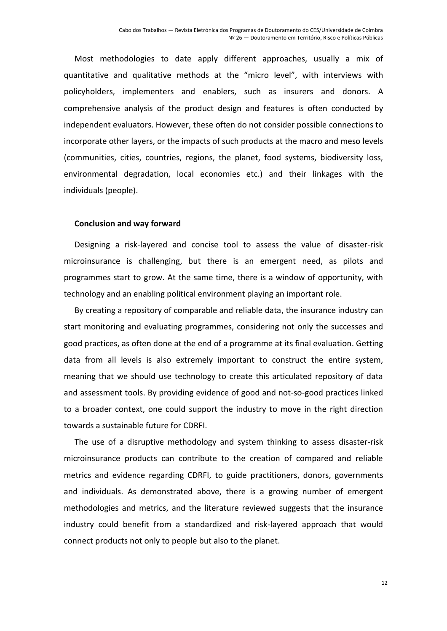Most methodologies to date apply different approaches, usually a mix of quantitative and qualitative methods at the "micro level", with interviews with policyholders, implementers and enablers, such as insurers and donors. A comprehensive analysis of the product design and features is often conducted by independent evaluators. However, these often do not consider possible connections to incorporate other layers, or the impacts of such products at the macro and meso levels (communities, cities, countries, regions, the planet, food systems, biodiversity loss, environmental degradation, local economies etc.) and their linkages with the individuals (people).

## **Conclusion and way forward**

Designing a risk-layered and concise tool to assess the value of disaster-risk microinsurance is challenging, but there is an emergent need, as pilots and programmes start to grow. At the same time, there is a window of opportunity, with technology and an enabling political environment playing an important role.

By creating a repository of comparable and reliable data, the insurance industry can start monitoring and evaluating programmes, considering not only the successes and good practices, as often done at the end of a programme at its final evaluation. Getting data from all levels is also extremely important to construct the entire system, meaning that we should use technology to create this articulated repository of data and assessment tools. By providing evidence of good and not-so-good practices linked to a broader context, one could support the industry to move in the right direction towards a sustainable future for CDRFI.

The use of a disruptive methodology and system thinking to assess disaster-risk microinsurance products can contribute to the creation of compared and reliable metrics and evidence regarding CDRFI, to guide practitioners, donors, governments and individuals. As demonstrated above, there is a growing number of emergent methodologies and metrics, and the literature reviewed suggests that the insurance industry could benefit from a standardized and risk-layered approach that would connect products not only to people but also to the planet.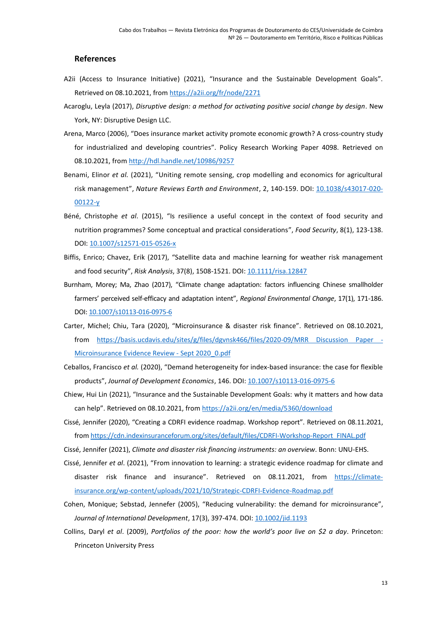### **References**

- A2ii (Access to Insurance Initiative) (2021), "Insurance and the Sustainable Development Goals". Retrieved on 08.10.2021, from<https://a2ii.org/fr/node/2271>
- Acaroglu, Leyla (2017), *Disruptive design: a method for activating positive social change by design*. New York, NY: Disruptive Design LLC.
- Arena, Marco (2006), "Does insurance market activity promote economic growth? A cross-country study for industrialized and developing countries". Policy Research Working Paper 4098. Retrieved on 08.10.2021, fro[m http://hdl.handle.net/10986/9257](http://hdl.handle.net/10986/9257)
- Benami, Elinor *et al.* (2021), "Uniting remote sensing, crop modelling and economics for agricultural risk management", *Nature Reviews Earth and Environment*, 2, 140-159. DOI: [10.1038/s43017-020-](https://doi.org/10.1038/s43017-020-00122-y) [00122-y](https://doi.org/10.1038/s43017-020-00122-y)
- Béné, Christophe *et al*. (2015), "Is resilience a useful concept in the context of food security and nutrition programmes? Some conceptual and practical considerations", *Food Security*, 8(1), 123-138. DOI: [10.1007/s12571-015-0526-x](https://doi.org/10.1007/s12571-015-0526-x)
- Biffis, Enrico; Chavez, Erik (2017), "Satellite data and machine learning for weather risk management and food security", *Risk Analysis*, 37(8), 1508-1521. DOI[: 10.1111/risa.12847](https://doi.org/10.1111/risa.12847)
- Burnham, Morey; Ma, Zhao (2017), "Climate change adaptation: factors influencing Chinese smallholder farmers' perceived self-efficacy and adaptation intent", *Regional Environmental Change*, 17(1), 171-186. DOI[: 10.1007/s10113-016-0975-6](https://doi.org/10.1007/s10113-016-0975-6)
- Carter, Michel; Chiu, Tara (2020), "Microinsurance & disaster risk finance". Retrieved on 08.10.2021, from [https://basis.ucdavis.edu/sites/g/files/dgvnsk466/files/2020-09/MRR](https://basis.ucdavis.edu/sites/g/files/dgvnsk466/files/2020-09/MRR%20Discussion%20Paper%20-%20Microinsurance%20Evidence%20Review%20-%20Sept%202020_0.pdf) Discussion Paper -[Microinsurance](https://basis.ucdavis.edu/sites/g/files/dgvnsk466/files/2020-09/MRR%20Discussion%20Paper%20-%20Microinsurance%20Evidence%20Review%20-%20Sept%202020_0.pdf) Evidence Review - Sept 2020\_0.pdf
- Ceballos, Francisco *et al.* (2020), "Demand heterogeneity for index-based insurance: the case for flexible products", *Journal of Development Economics*, 146. DOI[: 10.1007/s10113-016-0975-6](https://doi.org/10.1007/s10113-016-0975-6)
- Chiew, Hui Lin (2021), "Insurance and the Sustainable Development Goals: why it matters and how data can help". Retrieved on 08.10.2021, from<https://a2ii.org/en/media/5360/download>
- Cissé, Jennifer (2020), "Creating a CDRFI evidence roadmap. Workshop report". Retrieved on 08.11.2021, from [https://cdn.indexinsuranceforum.org/sites/default/files/CDRFI-Workshop-Report\\_FINAL.pdf](https://cdn.indexinsuranceforum.org/sites/default/files/CDRFI-Workshop-Report_FINAL.pdf)
- Cissé, Jennifer (2021), *Climate and disaster risk financing instruments: an overview*. Bonn: UNU-EHS.
- Cissé, Jennifer *et al*. (2021), "From innovation to learning: a strategic evidence roadmap for climate and disaster risk finance and insurance". Retrieved on 08.11.2021, from [https://climate](https://climate-insurance.org/wp-content/uploads/2021/10/Strategic-CDRFI-Evidence-Roadmap.pdf)[insurance.org/wp-content/uploads/2021/10/Strategic-CDRFI-Evidence-Roadmap.pdf](https://climate-insurance.org/wp-content/uploads/2021/10/Strategic-CDRFI-Evidence-Roadmap.pdf)
- Cohen, Monique; Sebstad, Jennefer (2005), "Reducing vulnerability: the demand for microinsurance", *Journal of International Development*, 17(3), 397-474. DOI[: 10.1002/jid.1193](https://doi.org/10.1002/jid.1193)
- Collins, Daryl *et al*. (2009), *Portfolios of the poor: how the world's poor live on \$2 a day*. Princeton: Princeton University Press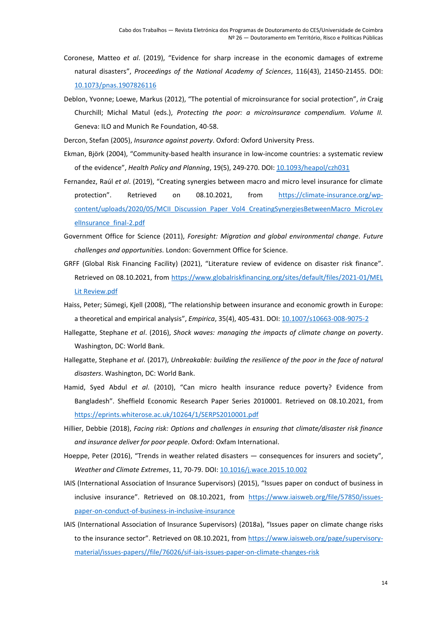- Coronese, Matteo *et al*. (2019), "Evidence for sharp increase in the economic damages of extreme natural disasters", *Proceedings of the National Academy of Sciences*, 116(43), 21450-21455. DOI: [10.1073/pnas.1907826116](https://doi.org/10.1073/pnas.1907826116)
- Deblon, Yvonne; Loewe, Markus (2012), "The potential of microinsurance for social protection", *in* Craig Churchill; Michal Matul (eds.), *Protecting the poor: a microinsurance compendium. Volume II.*  Geneva: ILO and Munich Re Foundation, 40-58.

Dercon, Stefan (2005), *Insurance against poverty*. Oxford: Oxford University Press.

- Ekman, Björk (2004), "Community-based health insurance in low-income countries: a systematic review of the evidence", *Health Policy and Planning*, 19(5), 249-270. DOI[: 10.1093/heapol/czh031](https://doi.org/10.1093/heapol/czh031)
- Fernandez, Raúl *et al*. (2019), "Creating synergies between macro and micro level insurance for climate protection". Retrieved on 08.10.2021, from [https://climate-insurance.org/wp](https://climate-insurance.org/wp-content/uploads/2020/05/MCII_Discussion_Paper_Vol4_CreatingSynergiesBetweenMacro_MicroLevelInsurance_final-2.pdf)[content/uploads/2020/05/MCII\\_Discussion\\_Paper\\_Vol4\\_CreatingSynergiesBetweenMacro\\_MicroLev](https://climate-insurance.org/wp-content/uploads/2020/05/MCII_Discussion_Paper_Vol4_CreatingSynergiesBetweenMacro_MicroLevelInsurance_final-2.pdf) [elInsurance\\_final-2.pdf](https://climate-insurance.org/wp-content/uploads/2020/05/MCII_Discussion_Paper_Vol4_CreatingSynergiesBetweenMacro_MicroLevelInsurance_final-2.pdf)
- Government Office for Science (2011), *Foresight: Migration and global environmental change. Future challenges and opportunities.* London: Government Office for Science.
- GRFF (Global Risk Financing Facility) (2021), "Literature review of evidence on disaster risk finance". Retrieved on 08.10.2021, from [https://www.globalriskfinancing.org/sites/default/files/2021-01/MEL](https://www.globalriskfinancing.org/sites/default/files/2021-01/MEL%20Lit%20Review.pdf)  [Lit Review.pdf](https://www.globalriskfinancing.org/sites/default/files/2021-01/MEL%20Lit%20Review.pdf)
- Haiss, Peter; Sümegi, Kjell (2008), "The relationship between insurance and economic growth in Europe: a theoretical and empirical analysis", *Empirica*, 35(4), 405-431. DOI[: 10.1007/s10663-008-9075-2](http://dx.doi.org/10.1007/s10663-008-9075-2)
- Hallegatte, Stephane *et al*. (2016), *Shock waves: managing the impacts of climate change on poverty*. Washington, DC: World Bank.
- Hallegatte, Stephane *et al*. (2017), *Unbreakable: building the resilience of the poor in the face of natural disasters*. Washington, DC: World Bank.
- Hamid, Syed Abdul *et al*. (2010), "Can micro health insurance reduce poverty? Evidence from Bangladesh". Sheffield Economic Research Paper Series 2010001. Retrieved on 08.10.2021, from <https://eprints.whiterose.ac.uk/10264/1/SERPS2010001.pdf>
- Hillier, Debbie (2018), *Facing risk: Options and challenges in ensuring that climate/disaster risk finance and insurance deliver for poor people*. Oxford: Oxfam International.
- Hoeppe, Peter (2016), "Trends in weather related disasters consequences for insurers and society", *Weather and Climate Extremes*, 11, 70-79. DOI: [10.1016/j.wace.2015.10.002](https://doi.org/10.1016/j.wace.2015.10.002)
- IAIS (International Association of Insurance Supervisors) (2015), "Issues paper on conduct of business in inclusive insurance". Retrieved on 08.10.2021, from [https://www.iaisweb.org/file/57850/issues](https://www.iaisweb.org/file/57850/issues-paper-on-conduct-of-business-in-inclusive-insurance)[paper-on-conduct-of-business-in-inclusive-insurance](https://www.iaisweb.org/file/57850/issues-paper-on-conduct-of-business-in-inclusive-insurance)
- IAIS (International Association of Insurance Supervisors) (2018a), "Issues paper on climate change risks to the insurance sector". Retrieved on 08.10.2021, from [https://www.iaisweb.org/page/supervisory](https://www.iaisweb.org/page/supervisory-material/issues-papers/file/76026/sif-iais-issues-paper-on-climate-changes-risk)[material/issues-papers//file/76026/sif-iais-issues-paper-on-climate-changes-risk](https://www.iaisweb.org/page/supervisory-material/issues-papers/file/76026/sif-iais-issues-paper-on-climate-changes-risk)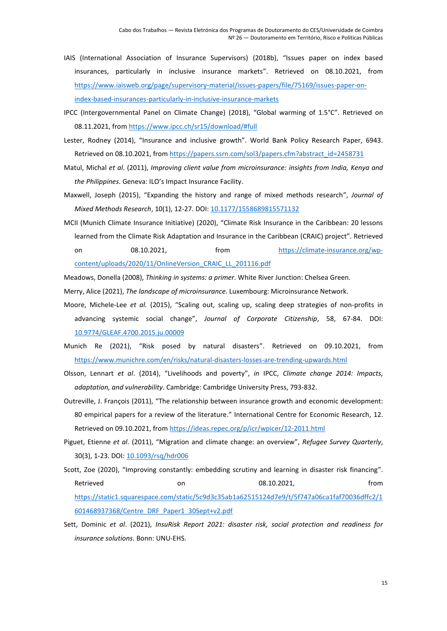- IAIS (International Association of Insurance Supervisors) (2018b), "Issues paper on index based insurances, particularly in inclusive insurance markets". Retrieved on 08.10.2021, from [https://www.iaisweb.org/page/supervisory-material/issues-papers/file/75169/issues-paper-on](https://www.iaisweb.org/page/supervisory-material/issues-papers/file/75169/issues-paper-on-index-based-insurances-particularly-in-inclusive-insurance-markets)[index-based-insurances-particularly-in-inclusive-insurance-markets](https://www.iaisweb.org/page/supervisory-material/issues-papers/file/75169/issues-paper-on-index-based-insurances-particularly-in-inclusive-insurance-markets)
- IPCC (Intergovernmental Panel on Climate Change) (2018), "Global warming of 1.5°C". Retrieved on 08.11.2021, fro[m https://www.ipcc.ch/sr15/download/#full](https://www.ipcc.ch/sr15/download/%23full)
- Lester, Rodney (2014), "Insurance and inclusive growth". World Bank Policy Research Paper, 6943. Retrieved on 08.10.2021, from [https://papers.ssrn.com/sol3/papers.cfm?abstract\\_id=2458731](https://papers.ssrn.com/sol3/papers.cfm?abstract_id=2458731)
- Matul, Michal *et al*. (2011), *Improving client value from microinsurance: insights from India, Kenya and the Philippines*. Geneva: ILO's Impact Insurance Facility.
- Maxwell, Joseph (2015), "Expanding the history and range of mixed methods research", *Journal of Mixed Methods Research*, 10(1), 12-27. DOI[: 10.1177/1558689815571132](https://doi.org/10.1177%2F1558689815571132)
- MCII (Munich Climate Insurance Initiative) (2020), "Climate Risk Insurance in the Caribbean: 20 lessons learned from the Climate Risk Adaptation and Insurance in the Caribbean (CRAIC) project". Retrieved on 08.10.2021, from [https://climate-insurance.org/wp](https://climate-insurance.org/wp-content/uploads/2020/11/OnlineVersion_CRAIC_LL_201116.pdf)[content/uploads/2020/11/OnlineVersion\\_CRAIC\\_LL\\_201116.pdf](https://climate-insurance.org/wp-content/uploads/2020/11/OnlineVersion_CRAIC_LL_201116.pdf)

Meadows, Donella (2008), *Thinking in systems: a primer*. White River Junction: Chelsea Green.

- Merry, Alice (2021), *The landscape of microinsurance*. Luxembourg: Microinsurance Network.
- Moore, Michele-Lee *et al.* (2015), "Scaling out, scaling up, scaling deep strategies of non-profits in advancing systemic social change", *Journal of Corporate Citizenship*, 58, 67-84. DOI: [10.9774/GLEAF.4700.2015.ju.00009](https://doi.org/10.9774/GLEAF.4700.2015.ju.00009)
- Munich Re (2021), "Risk posed by natural disasters". Retrieved on 09.10.2021, from <https://www.munichre.com/en/risks/natural-disasters-losses-are-trending-upwards.html>
- Olsson, Lennart *et al*. (2014), "Livelihoods and poverty", *in* IPCC, *Climate change 2014: Impacts, adaptation, and vulnerability*. Cambridge: Cambridge University Press, 793-832.
- Outreville, J. François (2011), "The relationship between insurance growth and economic development: 80 empirical papers for a review of the literature." International Centre for Economic Research, 12. Retrieved on 09.10.2021, from<https://ideas.repec.org/p/icr/wpicer/12-2011.html>
- Piguet, Etienne *et al*. (2011), "Migration and climate change: an overview", *Refugee Survey Quarterly*, 30(3), 1-23. DOI[: 10.1093/rsq/hdr006](https://doi.org/10.1093/rsq/hdr006)
- Scott, Zoe (2020), "Improving constantly: embedding scrutiny and learning in disaster risk financing". Retrieved on on 08.10.2021, from from [https://static1.squarespace.com/static/5c9d3c35ab1a62515124d7e9/t/5f747a06ca1faf70036dffc2/1](https://static1.squarespace.com/static/5c9d3c35ab1a62515124d7e9/t/5f747a06ca1faf70036dffc2/1601468937368/Centre_DRF_Paper1_30Sept+v2.pdf) [601468937368/Centre\\_DRF\\_Paper1\\_30Sept+v2.pdf](https://static1.squarespace.com/static/5c9d3c35ab1a62515124d7e9/t/5f747a06ca1faf70036dffc2/1601468937368/Centre_DRF_Paper1_30Sept+v2.pdf)
- Sett, Dominic *et al*. (2021), *InsuRisk Report 2021: disaster risk, social protection and readiness for insurance solutions*. Bonn: UNU-EHS.